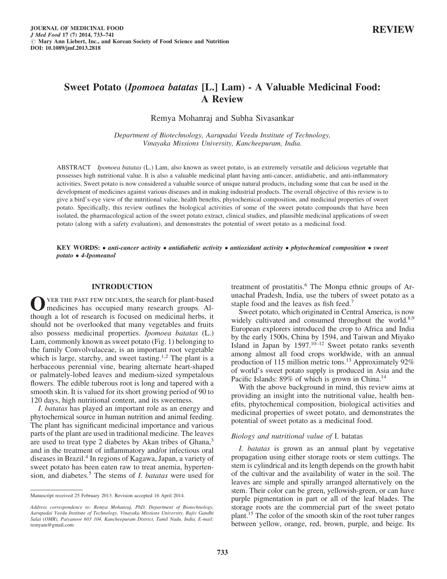# Sweet Potato (Ipomoea batatas [L.] Lam) - A Valuable Medicinal Food: A Review

Remya Mohanraj and Subha Sivasankar

Department of Biotechnology, Aarupadai Veedu Institute of Technology, Vinayaka Missions University, Kancheepuram, India.

ABSTRACT Ipomoea batatas (L.) Lam, also known as sweet potato, is an extremely versatile and delicious vegetable that possesses high nutritional value. It is also a valuable medicinal plant having anti-cancer, antidiabetic, and anti-inflammatory activities. Sweet potato is now considered a valuable source of unique natural products, including some that can be used in the development of medicines against various diseases and in making industrial products. The overall objective of this review is to give a bird's-eye view of the nutritional value, health benefits, phytochemical composition, and medicinal properties of sweet potato. Specifically, this review outlines the biological activities of some of the sweet potato compounds that have been isolated, the pharmacological action of the sweet potato extract, clinical studies, and plausible medicinal applications of sweet potato (along with a safety evaluation), and demonstrates the potential of sweet potato as a medicinal food.

KEY WORDS: • anti-cancer activity • antidiabetic activity • antioxidant activity • phytochemical composition • sweet potato • 4-Ipomeanol

#### INTRODUCTION

OVER THE PAST FEW DECADES, the search for plant-based<br>medicines has occupied many research groups. Although a lot of research is focused on medicinal herbs, it should not be overlooked that many vegetables and fruits also possess medicinal properties. Ipomoea batatas (L.) Lam, commonly known as sweet potato (Fig. 1) belonging to the family Convolvulaceae, is an important root vegetable which is large, starchy, and sweet tasting.<sup>1,2</sup> The plant is a herbaceous perennial vine, bearing alternate heart-shaped or palmately-lobed leaves and medium-sized sympetalous flowers. The edible tuberous root is long and tapered with a smooth skin. It is valued for its short growing period of 90 to 120 days, high nutritional content, and its sweetness.

I. batatas has played an important role as an energy and phytochemical source in human nutrition and animal feeding. The plant has significant medicinal importance and various parts of the plant are used in traditional medicine. The leaves are used to treat type 2 diabetes by Akan tribes of Ghana,<sup>3</sup> and in the treatment of inflammatory and/or infectious oral diseases in Brazil.4 In regions of Kagawa, Japan, a variety of sweet potato has been eaten raw to treat anemia, hypertension, and diabetes.<sup>5</sup> The stems of *I. batatas* were used for treatment of prostatitis.<sup>6</sup> The Monpa ethnic groups of Arunachal Pradesh, India, use the tubers of sweet potato as a staple food and the leaves as fish feed.<sup>7</sup>

Sweet potato, which originated in Central America, is now widely cultivated and consumed throughout the world.<sup>8,9</sup> European explorers introduced the crop to Africa and India by the early 1500s, China by 1594, and Taiwan and Miyako Island in Japan by  $1597$ .<sup>10–12</sup> Sweet potato ranks seventh among almost all food crops worldwide, with an annual production of 115 million metric tons.<sup>13</sup> Approximately 92% of world's sweet potato supply is produced in Asia and the Pacific Islands: 89% of which is grown in China.<sup>14</sup>

With the above background in mind, this review aims at providing an insight into the nutritional value, health benefits, phytochemical composition, biological activities and medicinal properties of sweet potato, and demonstrates the potential of sweet potato as a medicinal food.

#### Biology and nutritional value of I. batatas

I. batatas is grown as an annual plant by vegetative propagation using either storage roots or stem cuttings. The stem is cylindrical and its length depends on the growth habit of the cultivar and the availability of water in the soil. The leaves are simple and spirally arranged alternatively on the stem. Their color can be green, yellowish-green, or can have purple pigmentation in part or all of the leaf blades. The storage roots are the commercial part of the sweet potato plant.15 The color of the smooth skin of the root tuber ranges between yellow, orange, red, brown, purple, and beige. Its

Manuscript received 25 February 2013. Revision accepted 16 April 2014.

Address correspondence to: Remya Mohanraj, PhD, Department of Biotechnology, Aarupadai Veedu Institute of Technology, Vinayaka Missions University, Rajiv Gandhi Salai (OMR), Paiyanoor 603 104, Kancheepuram District, Tamil Nadu, India. E-mail: remyam@gmail.com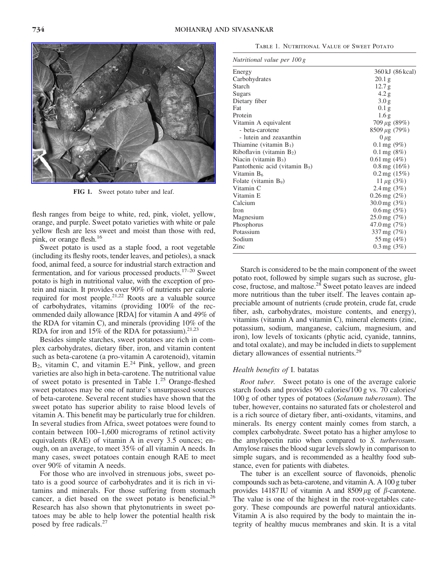

FIG 1. Sweet potato tuber and leaf.

flesh ranges from beige to white, red, pink, violet, yellow, orange, and purple. Sweet potato varieties with white or pale yellow flesh are less sweet and moist than those with red, pink, or orange flesh.<sup>16</sup>

Sweet potato is used as a staple food, a root vegetable (including its fleshy roots, tender leaves, and petioles), a snack food, animal feed, a source for industrial starch extraction and fermentation, and for various processed products.17–20 Sweet potato is high in nutritional value, with the exception of protein and niacin. It provides over 90% of nutrients per calorie required for most people.21,22 Roots are a valuable source of carbohydrates, vitamins (providing 100% of the recommended daily allowance [RDA] for vitamin A and 49% of the RDA for vitamin C), and minerals (providing 10% of the RDA for iron and 15% of the RDA for potassium). $21,23$ 

Besides simple starches, sweet potatoes are rich in complex carbohydrates, dietary fiber, iron, and vitamin content such as beta-carotene (a pro-vitamin A carotenoid), vitamin  $B_2$ , vitamin C, and vitamin E.<sup>24</sup> Pink, yellow, and green varieties are also high in beta-carotene. The nutritional value of sweet potato is presented in Table 1.25 Orange-fleshed sweet potatoes may be one of nature's unsurpassed sources of beta-carotene. Several recent studies have shown that the sweet potato has superior ability to raise blood levels of vitamin A. This benefit may be particularly true for children. In several studies from Africa, sweet potatoes were found to contain between 100–1,600 micrograms of retinol activity equivalents (RAE) of vitamin A in every 3.5 ounces; enough, on an average, to meet 35% of all vitamin A needs. In many cases, sweet potatoes contain enough RAE to meet over 90% of vitamin A needs.

For those who are involved in strenuous jobs, sweet potato is a good source of carbohydrates and it is rich in vitamins and minerals. For those suffering from stomach cancer, a diet based on the sweet potato is beneficial. $^{26}$ Research has also shown that phytonutrients in sweet potatoes may be able to help lower the potential health risk posed by free radicals.<sup>27</sup>

|  | TABLE 1. NUTRITIONAL VALUE OF SWEET POTATO |  |  |  |
|--|--------------------------------------------|--|--|--|
|--|--------------------------------------------|--|--|--|

| Nutritional value per $100 g$ |  |  |
|-------------------------------|--|--|
|                               |  |  |

| Energy                            | 360 kJ (86 kcal)           |  |  |  |
|-----------------------------------|----------------------------|--|--|--|
| Carbohydrates                     | 20.1 <sub>g</sub>          |  |  |  |
| Starch                            | 12.7 g                     |  |  |  |
| Sugars                            | 4.2 g                      |  |  |  |
| Dietary fiber                     | 3.0 <sub>g</sub>           |  |  |  |
| Fat                               | 0.1 <sub>g</sub>           |  |  |  |
| Protein                           | 1.6 <sub>g</sub>           |  |  |  |
| Vitamin A equivalent              | $709 \mu g (89\%)$         |  |  |  |
| - beta-carotene                   | $8509 \mu g (79\%)$        |  |  |  |
| - lutein and zeaxanthin           | $0 \mu$ g                  |  |  |  |
| Thiamine (vitamin $B_1$ )         | $0.1 \,\text{mg} (9\%)$    |  |  |  |
| Riboflavin (vitamin $B_2$ )       | $0.1 \,\text{mg} (8\%)$    |  |  |  |
| Niacin (vitamin $B_3$ )           | $0.61 \,\text{mg}$ (4\%)   |  |  |  |
| Pantothenic acid (vitamin $B_5$ ) | $0.8 \,\text{mg}$ $(16\%)$ |  |  |  |
| Vitamin B <sub>6</sub>            | $0.2 \,\text{mg}$ (15%)    |  |  |  |
| Folate (vitamin $B_9$ )           | $11 \mu g (3\%)$           |  |  |  |
| Vitamin C                         | 2.4 mg $(3%)$              |  |  |  |
| Vitamin E                         | $0.26$ mg $(2%)$           |  |  |  |
| Calcium                           | $30.0 \,\mathrm{mg}$ (3\%) |  |  |  |
| <b>Iron</b>                       | $0.6 \,\text{mg}$ (5%)     |  |  |  |
| Magnesium                         | $25.0 \,\mathrm{mg}$ (7%)  |  |  |  |
| Phosphorus                        | $47.0 \,\mathrm{mg}$ (7\%) |  |  |  |
| Potassium                         | 337 mg $(7%)$              |  |  |  |
| Sodium                            | 55 mg $(4%)$               |  |  |  |
| Zinc                              | $0.3 \,\text{mg}$ (3\%)    |  |  |  |
|                                   |                            |  |  |  |

Starch is considered to be the main component of the sweet potato root, followed by simple sugars such as sucrose, glucose, fructose, and maltose.28 Sweet potato leaves are indeed more nutritious than the tuber itself. The leaves contain appreciable amount of nutrients (crude protein, crude fat, crude fiber, ash, carbohydrates, moisture contents, and energy), vitamins (vitamin A and vitamin C), mineral elements (zinc, potassium, sodium, manganese, calcium, magnesium, and iron), low levels of toxicants (phytic acid, cyanide, tannins, and total oxalate), and may be included in diets to supplement dietary allowances of essential nutrients.<sup>29</sup>

#### Health benefits of I. batatas

Root tuber. Sweet potato is one of the average calorie starch foods and provides 90 calories/100 g vs. 70 calories/ 100 g of other types of potatoes (Solanum tuberosum). The tuber, however, contains no saturated fats or cholesterol and is a rich source of dietary fiber, anti-oxidants, vitamins, and minerals. Its energy content mainly comes from starch, a complex carbohydrate. Sweet potato has a higher amylose to the amylopectin ratio when compared to S. turberosum. Amylose raises the blood sugar levels slowly in comparison to simple sugars, and is recommended as a healthy food substance, even for patients with diabetes.

The tuber is an excellent source of flavonoids, phenolic compounds such as beta-carotene, and vitamin A. A 100 g tuber provides 14187 IU of vitamin A and 8509  $\mu$ g of  $\beta$ -carotene. The value is one of the highest in the root-vegetables category. These compounds are powerful natural antioxidants. Vitamin A is also required by the body to maintain the integrity of healthy mucus membranes and skin. It is a vital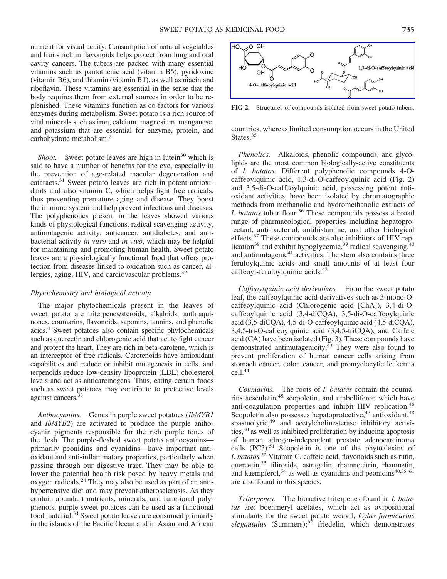nutrient for visual acuity. Consumption of natural vegetables and fruits rich in flavonoids helps protect from lung and oral cavity cancers. The tubers are packed with many essential vitamins such as pantothenic acid (vitamin B5), pyridoxine (vitamin B6), and thiamin (vitamin B1), as well as niacin and riboflavin. These vitamins are essential in the sense that the body requires them from external sources in order to be replenished. These vitamins function as co-factors for various enzymes during metabolism. Sweet potato is a rich source of vital minerals such as iron, calcium, magnesium, manganese, and potassium that are essential for enzyme, protein, and carbohydrate metabolism.2

Shoot. Sweet potato leaves are high in lutein $30$  which is said to have a number of benefits for the eye, especially in the prevention of age-related macular degeneration and cataracts.<sup>31</sup> Sweet potato leaves are rich in potent antioxidants and also vitamin C, which helps fight free radicals, thus preventing premature aging and disease. They boost the immune system and help prevent infections and diseases. The polyphenolics present in the leaves showed various kinds of physiological functions, radical scavenging activity, antimutagenic activity, anticancer, antidiabetes, and antibacterial activity in vitro and in vivo, which may be helpful for maintaining and promoting human health. Sweet potato leaves are a physiologically functional food that offers protection from diseases linked to oxidation such as cancer, allergies, aging, HIV, and cardiovascular problems.<sup>32</sup>

#### Phytochemistry and biological activity

The major phytochemicals present in the leaves of sweet potato are triterpenes/steroids, alkaloids, anthraquinones, coumarins, flavonoids, saponins, tannins, and phenolic acids.4 Sweet potatoes also contain specific phytochemicals such as quercetin and chlorogenic acid that act to fight cancer and protect the heart. They are rich in beta-carotene, which is an interceptor of free radicals. Carotenoids have antioxidant capabilities and reduce or inhibit mutagenesis in cells, and terpenoids reduce low-density lipoprotein (LDL) cholesterol levels and act as anticarcinogens. Thus, eating certain foods such as sweet potatoes may contribute to protective levels against cancers.<sup>33</sup>

Anthocyanins. Genes in purple sweet potatoes (IbMYB1) and IbMYB2) are activated to produce the purple anthocyanin pigments responsible for the rich purple tones of the flesh. The purple-fleshed sweet potato anthocyanins primarily peonidins and cyanidins—have important antioxidant and anti-inflammatory properties, particularly when passing through our digestive tract. They may be able to lower the potential health risk posed by heavy metals and oxygen radicals.<sup>24</sup> They may also be used as part of an antihypertensive diet and may prevent atherosclerosis. As they contain abundant nutrients, minerals, and functional polyphenols, purple sweet potatoes can be used as a functional food material.<sup>34</sup> Sweet potato leaves are consumed primarily in the islands of the Pacific Ocean and in Asian and African



FIG 2. Structures of compounds isolated from sweet potato tubers.

countries, whereas limited consumption occurs in the United States.<sup>35</sup>

Phenolics. Alkaloids, phenolic compounds, and glycolipids are the most common biologically-active constituents of I. batatas. Different polyphenolic compounds 4-Ocaffeoylquinic acid, 1,3-di-O-caffeoylquinic acid (Fig. 2) and 3,5-di-O-caffeoylquinic acid, possessing potent antioxidant activities, have been isolated by chromatographic methods from methanolic and hydromethanolic extracts of I. batatas tuber flour.<sup>36</sup> These compounds possess a broad range of pharmacological properties including hepatoprotectant, anti-bacterial, antihistamine, and other biological effects.<sup>37</sup> These compounds are also inhibitors of HIV replication<sup>38</sup> and exhibit hypoglycemic,<sup>39</sup> radical scavenging, $40$ and antimutagenic $41$  activities. The stem also contains three feruloylquinic acids and small amounts of at least four caffeoyl-feruloylquinic acids.42

Caffeoylquinic acid derivatives. From the sweet potato leaf, the caffeoylquinic acid derivatives such as 3-mono-Ocaffeoylquinic acid (Chlorogenic acid [ChA]), 3,4-di-Ocaffeoylquinic acid (3,4-diCQA), 3,5-di-O-caffeoylquinic acid (3,5-diCQA), 4,5-di-O-caffeoylquinic acid (4,5-diCQA), 3,4,5-tri-O-caffeoylquinic acid (3,4,5-triCQA), and Caffeic acid (CA) have been isolated (Fig. 3). These compounds have demonstrated antimutagenicity. $43$  They were also found to prevent proliferation of human cancer cells arising from stomach cancer, colon cancer, and promyelocytic leukemia cell.44

Coumarins. The roots of I. batatas contain the coumarins aesculetin,<sup>45</sup> scopoletin, and umbelliferon which have anti-coagulation properties and inhibit HIV replication.46 Scopoletin also possesses hepatoprotective,<sup>47</sup> antioxidant,<sup>48</sup> spasmolytic,<sup>49</sup> and acetylcholinesterase inhibitory activities,50 as well as inhibited proliferation by inducing apoptosis of human adrogen-independent prostate adenocarcinoma cells (PC3).<sup>51</sup> Scopoletin is one of the phytoalexins of I. batatas.<sup>52</sup> Vitamin C, caffeic acid, flavonoids such as rutin, quercetin,53 tiliroside, astragalin, rhamnocitrin, rhamnetin, and kaempferol,<sup>54</sup> as well as cyanidins and peonidins<sup>40,55–61</sup> are also found in this species.

Triterpenes. The bioactive triterpenes found in I. batatas are: boehmeryl acetates, which act as ovipositional stimulants for the sweet potato weevil; Cylas formicarius  $e$ legantulus (Summers);<sup>62</sup> friedelin, which demonstrates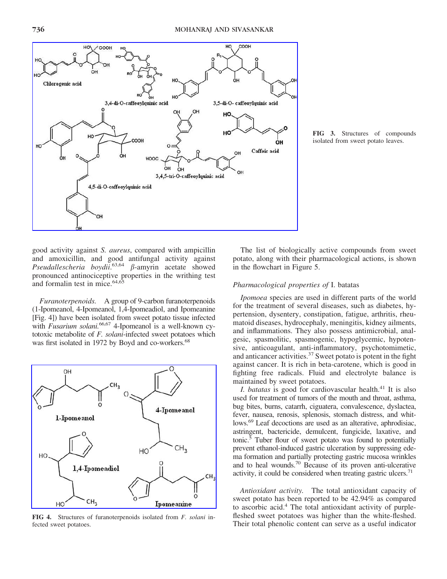

FIG 3. Structures of compounds isolated from sweet potato leaves.

good activity against S. aureus, compared with ampicillin and amoxicillin, and good antifungal activity against Pseudallescheria boydii.<sup>63,64</sup>  $\beta$ -amyrin acetate showed pronounced antinociceptive properties in the writhing test and formalin test in mice.64,65

Furanoterpenoids. A group of 9-carbon furanoterpenoids (1-Ipomeanol, 4-Ipomeanol, 1,4-Ipomeadiol, and Ipomeanine [Fig. 4]) have been isolated from sweet potato tissue infected with *Fusarium solani*.<sup>66,67</sup> 4-Ipomeanol is a well-known cytotoxic metabolite of F. solani-infected sweet potatoes which was first isolated in 1972 by Boyd and co-workers.<sup>68</sup>



FIG 4. Structures of furanoterpenoids isolated from *F. solani* infected sweet potatoes.

The list of biologically active compounds from sweet potato, along with their pharmacological actions, is shown in the flowchart in Figure 5.

## Pharmacological properties of I. batatas

Ipomoea species are used in different parts of the world for the treatment of several diseases, such as diabetes, hypertension, dysentery, constipation, fatigue, arthritis, rheumatoid diseases, hydrocephaly, meningitis, kidney ailments, and inflammations. They also possess antimicrobial, analgesic, spasmolitic, spasmogenic, hypoglycemic, hypotensive, anticoagulant, anti-inflammatory, psychotomimetic, and anticancer activities.37 Sweet potato is potent in the fight against cancer. It is rich in beta-carotene, which is good in fighting free radicals. Fluid and electrolyte balance is maintained by sweet potatoes.

I. batatas is good for cardiovascular health. $41$  It is also used for treatment of tumors of the mouth and throat, asthma, bug bites, burns, catarrh, ciguatera, convalescence, dyslactea, fever, nausea, renosis, splenosis, stomach distress, and whitlows.69 Leaf decoctions are used as an alterative, aphrodisiac, astringent, bactericide, demulcent, fungicide, laxative, and tonic.5 Tuber flour of sweet potato was found to potentially prevent ethanol-induced gastric ulceration by suppressing edema formation and partially protecting gastric mucosa wrinkles and to heal wounds.70 Because of its proven anti-ulcerative activity, it could be considered when treating gastric ulcers. $71$ 

Antioxidant activity. The total antioxidant capacity of sweet potato has been reported to be 42.94% as compared to ascorbic acid.4 The total antioxidant activity of purplefleshed sweet potatoes was higher than the white-fleshed. Their total phenolic content can serve as a useful indicator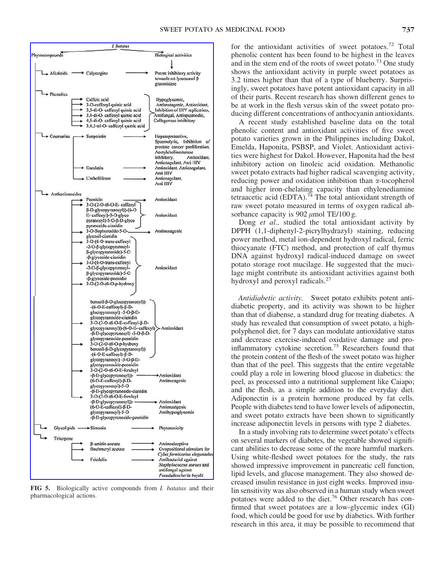

FIG 5. Biologically active compounds from I. batatas and their pharmacological actions.

for the antioxidant activities of sweet potatoes.<sup>72</sup> Total phenolic content has been found to be highest in the leaves and in the stem end of the roots of sweet potato.<sup>73</sup> One study shows the antioxidant activity in purple sweet potatoes as 3.2 times higher than that of a type of blueberry. Surprisingly, sweet potatoes have potent antioxidant capacity in all of their parts. Recent research has shown different genes to be at work in the flesh versus skin of the sweet potato producing different concentrations of anthocyanin antioxidants.

A recent study established baseline data on the total phenolic content and antioxidant activities of five sweet potato varieties grown in the Philippines including Dakol, Emelda, Haponita, PSBSP, and Violet. Antioxidant activities were highest for Dakol. However, Haponita had the best inhibitory action on linoleic acid oxidation. Methanolic sweet potato extracts had higher radical scavenging activity, reducing power and oxidation inhibition than  $\alpha$ -tocopherol and higher iron-chelating capacity than ethylenediamine tetraacetic acid (EDTA).<sup>74</sup> The total antioxidant strength of raw sweet potato measured in terms of oxygen radical absorbance capacity is  $902 \mu$ mol TE/100 g.

Dong *et al.*, studied the total antioxidant activity by DPPH (1,1-diphenyl-2-picrylhydrazyl) staining, reducing power method, metal ion-dependent hydroxyl radical, ferric thiocyanate (FTC) method, and protection of calf thymus DNA against hydroxyl radical-induced damage on sweet potato storage root mucilage. He suggested that the mucilage might contribute its antioxidant activities against both hydroxyl and peroxyl radicals.<sup>27</sup>

Antidiabetic activity. Sweet potato exhibits potent antidiabetic property, and its activity was shown to be higher than that of diabense, a standard drug for treating diabetes. A study has revealed that consumption of sweet potato, a highpolyphenol diet, for 7 days can modulate antioxidative status and decrease exercise-induced oxidative damage and proinflammatory cytokine secretion.75 Researchers found that the protein content of the flesh of the sweet potato was higher than that of the peel. This suggests that the entire vegetable could play a role in lowering blood glucose in diabetics: the peel, as processed into a nutritional supplement like Caiapo; and the flesh, as a simple addition to the everyday diet. Adiponectin is a protein hormone produced by fat cells. People with diabetes tend to have lower levels of adiponectin, and sweet potato extracts have been shown to significantly increase adiponectin levels in persons with type 2 diabetes.

In a study involving rats to determine sweet potato's effects on several markers of diabetes, the vegetable showed significant abilities to decrease some of the more harmful markers. Using white-fleshed sweet potatoes for the study, the rats showed impressive improvement in pancreatic cell function, lipid levels, and glucose management. They also showed decreased insulin resistance in just eight weeks. Improved insulin sensitivity was also observed in a human study when sweet potatoes were added to the diet.<sup>76</sup> Other research has confirmed that sweet potatoes are a low-glycemic index (GI) food, which could be good for use by diabetics. With further research in this area, it may be possible to recommend that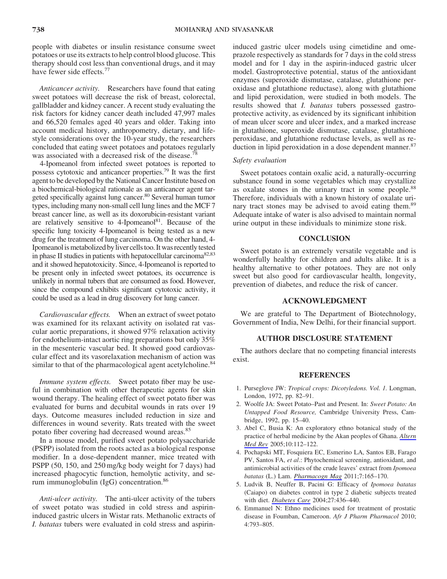people with diabetes or insulin resistance consume sweet potatoes or use its extracts to help control blood glucose. This therapy should cost less than conventional drugs, and it may have fewer side effects.<sup>77</sup>

Anticancer activity. Researchers have found that eating sweet potatoes will decrease the risk of breast, colorectal, gallbladder and kidney cancer. A recent study evaluating the risk factors for kidney cancer death included 47,997 males and 66,520 females aged 40 years and older. Taking into account medical history, anthropometry, dietary, and lifestyle considerations over the 10-year study, the researchers concluded that eating sweet potatoes and potatoes regularly was associated with a decreased risk of the disease.<sup>78</sup>

4-Ipomeanol from infected sweet potatoes is reported to possess cytotoxic and anticancer properties.79 It was the first agent to be developed by the National Cancer Institute based on a biochemical-biological rationale as an anticancer agent targeted specifically against lung cancer.<sup>80</sup> Several human tumor types, including many non-small cell lung lines and the MCF 7 breast cancer line, as well as its doxorubicin-resistant variant are relatively sensitive to  $4$ -Ipomeanol<sup>81</sup>. Because of the specific lung toxicity 4-Ipomeanol is being tested as a new drug for the treatment of lung carcinoma. On the other hand, 4- Ipomeanol is metabolized by liver cells too. It was recently tested in phase II studies in patients with hepatocellular carcinoma<sup>82,83</sup> and it showed hepatotoxicity. Since, 4-Ipomeanol is reported to be present only in infected sweet potatoes, its occurrence is unlikely in normal tubers that are consumed as food. However, since the compound exhibits significant cytotoxic activity, it could be used as a lead in drug discovery for lung cancer.

Cardiovascular effects. When an extract of sweet potato was examined for its relaxant activity on isolated rat vascular aortic preparations, it showed 97% relaxation activity for endothelium-intact aortic ring preparations but only 35% in the mesenteric vascular bed. It showed good cardiovascular effect and its vasorelaxation mechanism of action was similar to that of the pharmacological agent acetylcholine.<sup>84</sup>

Immune system effects. Sweet potato fiber may be useful in combination with other therapeutic agents for skin wound therapy. The healing effect of sweet potato fiber was evaluated for burns and decubital wounds in rats over 19 days. Outcome measures included reduction in size and differences in wound severity. Rats treated with the sweet potato fiber covering had decreased wound areas.<sup>85</sup>

In a mouse model, purified sweet potato polysaccharide (PSPP) isolated from the roots acted as a biological response modifier. In a dose-dependent manner, mice treated with PSPP (50, 150, and 250 mg/kg body weight for 7 days) had increased phagocytic function, hemolytic activity, and serum immunoglobulin (IgG) concentration.<sup>86</sup>

Anti-ulcer activity. The anti-ulcer activity of the tubers of sweet potato was studied in cold stress and aspirininduced gastric ulcers in Wistar rats. Methanolic extracts of I. batatas tubers were evaluated in cold stress and aspirininduced gastric ulcer models using cimetidine and omeprazole respectively as standards for 7 days in the cold stress model and for 1 day in the aspirin-induced gastric ulcer model. Gastroprotective potential, status of the antioxidant enzymes (superoxide dismutase, catalase, glutathione peroxidase and glutathione reductase), along with glutathione and lipid peroxidation, were studied in both models. The results showed that I. batatas tubers possessed gastroprotective activity, as evidenced by its significant inhibition of mean ulcer score and ulcer index, and a marked increase in glutathione, superoxide dismutase, catalase, glutathione peroxidase, and glutathione reductase levels, as well as reduction in lipid peroxidation in a dose dependent manner.<sup>87</sup>

## Safety evaluation

Sweet potatoes contain oxalic acid, a naturally-occurring substance found in some vegetables which may crystallize as oxalate stones in the urinary tract in some people.<sup>88</sup> Therefore, individuals with a known history of oxalate urinary tract stones may be advised to avoid eating them.<sup>89</sup> Adequate intake of water is also advised to maintain normal urine output in these individuals to minimize stone risk.

## **CONCLUSION**

Sweet potato is an extremely versatile vegetable and is wonderfully healthy for children and adults alike. It is a healthy alternative to other potatoes. They are not only sweet but also good for cardiovascular health, longevity, prevention of diabetes, and reduce the risk of cancer.

## ACKNOWLEDGMENT

We are grateful to The Department of Biotechnology, Government of India, New Delhi, for their financial support.

### AUTHOR DISCLOSURE STATEMENT

The authors declare that no competing financial interests exist.

## **REFERENCES**

- 1. Purseglove JW: Tropical crops: Dicotyledons. Vol. 1. Longman, London, 1972, pp. 82–91.
- 2. Woolfe JA: Sweet Potato–Past and Present. In: Sweet Potato: An Untapped Food Resource, Cambridge University Press, Cambridge, 1992, pp. 15–40.
- 3. Abel C, Busia K: An exploratory ethno botanical study of the practice of herbal medicine by the Akan peoples of Ghana. [Altern](http://online.liebertpub.com/action/showLinks?pmid=15989380) [Med Rev](http://online.liebertpub.com/action/showLinks?pmid=15989380) 2005;10:112–122.
- 4. Pochapski MT, Fosquiera EC, Esmerino LA, Santos EB, Farago PV, Santos FA, et al.: Phytochemical screening, antioxidant, and antimicrobial activities of the crude leaves' extract from Ipomoea batatas (L.) Lam. [Pharmacogn Mag](http://online.liebertpub.com/action/showLinks?pmid=21716926&crossref=10.4103%2F0973-1296.80682) 2011;7:165–170.
- 5. Ludvik B, Neuffer B, Pacini G: Efficacy of Ipomoea batatas (Caiapo) on diabetes control in type 2 diabetic subjects treated with diet. [Diabetes Care](http://online.liebertpub.com/action/showLinks?pmid=14747225&crossref=10.2337%2Fdiacare.27.2.436) 2004;27:436–440.
- 6. Emmanuel N: Ethno medicines used for treatment of prostatic disease in Foumban, Cameroon. Afr J Pharm Pharmacol 2010; 4:793–805.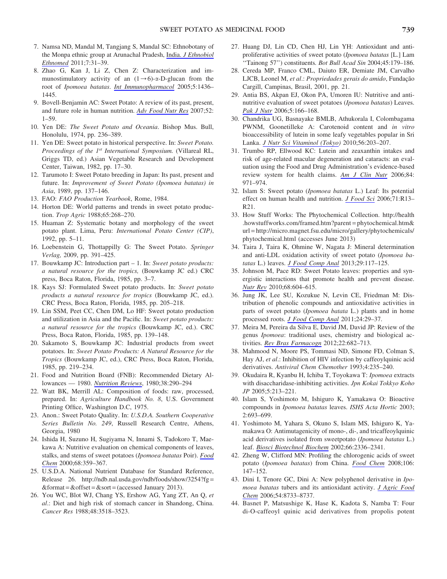- 7. Namsa ND, Mandal M, Tangjang S, Mandal SC: Ethnobotany of the Monpa ethnic group at Arunachal Pradesh, India. [J Ethnobiol](http://online.liebertpub.com/action/showLinks?pmid=21995750&crossref=10.1186%2F1746-4269-7-31) [Ethnomed](http://online.liebertpub.com/action/showLinks?pmid=21995750&crossref=10.1186%2F1746-4269-7-31) 2011;7:31–39.
- 8. Zhao G, Kan J, Li Z, Chen Z: Characterization and immunostimulatory activity of an  $(1\rightarrow 6)$ - $\alpha$ -D-glucan from the root of Ipomoea batatas. [Int Immunopharmacol](http://online.liebertpub.com/action/showLinks?pmid=15953570&crossref=10.1016%2Fj.intimp.2005.03.012) 2005;5:1436– 1445.
- 9. Bovell-Benjamin AC: Sweet Potato: A review of its past, present, and future role in human nutrition. [Adv Food Nutr Res](http://online.liebertpub.com/action/showLinks?pmid=17425943&crossref=10.1016%2FS1043-4526%2806%2952001-7) 2007;52: 1–59.
- 10. Yen DE: The Sweet Potato and Oceania. Bishop Mus. Bull, Honolulu, 1974, pp. 236–389.
- 11. Yen DE: Sweet potato in historical perspective. In: Sweet Potato. Proceedings of the 1<sup>st</sup> International Symposium. (Villareal RL, Griggs TD, ed.) Asian Vegetable Research and Development Center, Taiwan, 1982, pp. 17–30.
- 12. Tarumoto I: Sweet Potato breeding in Japan: Its past, present and future. In: Improvement of Sweet Potato (Ipomoea batatas) in Asia, 1989, pp. 137–146.
- 13. FAO: FAO Production Yearbook, Rome, 1984.
- 14. Horton DE: World patterns and trends in sweet potato production. Trop Agric 1988;65:268–270.
- 15. Huaman Z: Systematic botany and morphology of the sweet potato plant. Lima, Peru: International Potato Center (CIP), 1992, pp. 5–11.
- 16. Loebenstein G, Thottappilly G: The Sweet Potato. Springer Verlag, 2009, pp. 391–425.
- 17. Bouwkamp JC: Introduction part 1. In: Sweet potato products: a natural resource for the tropics, (Bouwkamp JC ed.) CRC press, Boca Raton, Florida, 1985, pp. 3–7.
- 18. Kays SJ: Formulated Sweet potato products. In: Sweet potato products a natural resource for tropics (Bouwkamp JC, ed.). CRC Press, Boca Raton, Florida, 1985, pp. 205–218.
- 19. Lin SSM, Peet CC, Chen DM, Lo HF: Sweet potato production and utilization in Asia and the Pacific. In: Sweet potato products: a natural resource for the tropics (Bouwkamp JC, ed.). CRC Press, Boca Raton, Florida, 1985, pp. 139–148.
- 20. Sakamoto S, Bouwkamp JC: Industrial products from sweet potatoes. In: Sweet Potato Products: A Natural Resource for the Tropics (Bouwkamp JC, ed.), CRC Press, Boca Raton, Florida, 1985, pp. 219–234.
- 21. Food and Nutrition Board (FNB): Recommended Dietary Allowances — 1980. [Nutrition Reviews](http://online.liebertpub.com/action/showLinks?pmid=7422162), 1980;38:290–294
- 22. Watt BK, Merrill AL: Composition of foods: raw, processed, prepared. In: Agriculture Handbook No. 8, U.S. Government Printing Office, Washington D.C, 1975.
- 23. Anon.: Sweet Potato Quality. In: U.S.D.A. Southern Cooperative Series Bulletin No. 249, Russell Research Centre, Athens, Georgia, 1980
- 24. Ishida H, Suzuno H, Sugiyama N, Innami S, Tadokoro T, Maekawa A: Nutritive evaluation on chemical components of leaves, stalks, and stems of sweet potatoes (Ipomoea batatas Poir). [Food](http://online.liebertpub.com/action/showLinks?crossref=10.1016%2FS0308-8146%2899%2900206-X) [Chem](http://online.liebertpub.com/action/showLinks?crossref=10.1016%2FS0308-8146%2899%2900206-X) 2000;68:359–367.
- 25. U.S.D.A. National Nutrient Database for Standard Reference, Release 26. http://ndb.nal.usda.gov/ndb/foods/show/3254?fg =  $&$  format =  $&$  offset =  $&$  sort = (accessed January 2013).
- 26. You WC, Blot WJ, Chang YS, Ershow AG, Yang ZT, An Q, et al.: Diet and high risk of stomach cancer in Shandong, China. Cancer Res 1988;48:3518–3523.
- 27. Huang DJ, Lin CD, Chen HJ, Lin YH: Antioxidant and antiproliferative activities of sweet potato (Ipomoea batatas [L.] Lam ''Tainong 57'') constituents. Bot Bull Acad Sin 2004;45:179–186.
- 28. Cereda MP, Franco CML, Daiuto ER, Demiate JM, Carvalho LJCB, Leonel M, et al.: Propriedades gerais do amido, Fundação Cargill, Campinas, Brasil, 2001, pp. 21.
- 29. Antia BS, Akpan EJ, Okon PA, Umoren IU: Nutritive and antinutritive evaluation of sweet potatoes (Ipomoea batatas) Leaves. [Pak J Nutr](http://online.liebertpub.com/action/showLinks?crossref=10.3923%2Fpjn.2006.166.168) 2006;5:166–168.
- 30. Chandrika UG, Basnayake BMLB, Athukorala I, Colombagama PWNM, Goonetilleke A: Carotenoid content and in vitro bioaccessibility of lutein in some leafy vegetables popular in Sri Lanka. [J Nutr Sci Vitaminol \(Tokyo](http://online.liebertpub.com/action/showLinks?pmid=20651462&crossref=10.3177%2Fjnsv.56.203)) 2010;56:203–207.
- 31. Trumbo RP, Ellwood KC: Lutein and zeaxanthin intakes and risk of age-related macular degeneration and cataracts: an evaluation using the Food and Drug Administration's evidence-based review system for health claims. [Am J Clin Nutr](http://online.liebertpub.com/action/showLinks?pmid=17093145) 2006;84: 971–974.
- 32. Islam S: Sweet potato (Ipomoea batatas L.) Leaf: Its potential effect on human health and nutrition. [J Food Sci](http://online.liebertpub.com/action/showLinks?crossref=10.1111%2Fj.1365-2621.2006.tb08912.x) 2006;71:R13-R21.
- 33. How Stuff Works: The Phytochemical Collection. http://health .howstuffworks.com/framed.htm?parent = phytochemical.htm& url = http://micro.magnet.fsu.edu/micro/gallery/phytochemicals/ phytochemical.html (accesses June 2013)
- 34. Taira J, Taira K, Ohmine W, Nagata J: Mineral determination and anti-LDL oxidation activity of sweet potato (Ipomoea batatas L.) leaves. *[J Food Comp Anal](http://online.liebertpub.com/action/showLinks?crossref=10.1016%2Fj.jfca.2012.10.007)* 2013;29:117-125.
- 35. Johnson M, Pace RD: Sweet Potato leaves: properties and synergistic interactions that promote health and prevent disease. [Nutr Rev](http://online.liebertpub.com/action/showLinks?pmid=20883418&crossref=10.1111%2Fj.1753-4887.2010.00320.x) 2010;68:604–615.
- 36. Jung JK, Lee SU, Kozukue N, Levin CE, Friedman M: Distribution of phenolic compounds and antioxidative activities in parts of sweet potato (Ipomoea batata L.) plants and in home processed roots. [J Food Comp Anal](http://online.liebertpub.com/action/showLinks?crossref=10.1016%2Fj.jfca.2010.03.025) 2011;24:29–37.
- 37. Meira M, Pereira da Silva E, David JM, David JP: Review of the genus Ipomoea: traditional uses, chemistry and biological activities. [Rev Bras Farmacogn](http://online.liebertpub.com/action/showLinks?crossref=10.1590%2FS0102-695X2012005000025) 2012;22:682–713.
- 38. Mahmood N, Moore PS, Tommasi ND, Simone FD, Colman S, Hay AJ, et al.: Inhibition of HIV infection by caffeoylquinic acid derivatives. Antiviral Chem Chemother 1993;4:235–240.
- 39. Okudaira R, Kyanbu H, Ichiba T, Toyokawa T: Ipomoea extracts with disaccharidase-inhibiting activities. Jpn Kokai Tokkyo Koho JP 2005;5:213–221.
- 40. Islam S, Yoshimoto M, Ishiguro K, Yamakawa O: Bioactive compounds in Ipomoea batatas leaves. ISHS Acta Hortic 2003; 2:693–699.
- 41. Yoshimoto M, Yahara S, Okuno S, Islam MS, Ishiguro K, Yamakawa O: Antimutagenicity of mono-, di-, and tricaffeoylquinic acid derivatives isolated from sweetpotato (Ipomoea batatas L.) leaf. [Biosci Biotechnol Biochem](http://online.liebertpub.com/action/showLinks?pmid=12506969&crossref=10.1271%2Fbbb.66.2336) 2002;66:2336–2341.
- 42. Zheng W, Clifford MN: Profiling the chlorogenic acids of sweet potato (Ipomoea batatas) from China. [Food Chem](http://online.liebertpub.com/action/showLinks?crossref=10.1016%2Fj.foodchem.2007.05.053) 2008;106: 147–152.
- 43. Dini I, Tenore GC, Dini A: New polyphenol derivative in Ipomoea batatas tubers and its antioxidant activity. [J Agric Food](http://online.liebertpub.com/action/showLinks?pmid=17090114&crossref=10.1021%2Fjf061687v) [Chem](http://online.liebertpub.com/action/showLinks?pmid=17090114&crossref=10.1021%2Fjf061687v) 2006;54:8733–8737.
- 44. Basnet P, Matsushige K, Hase K, Kadota S, Namba T: Four di-O-caffeoyl quinic acid derivatives from propolis potent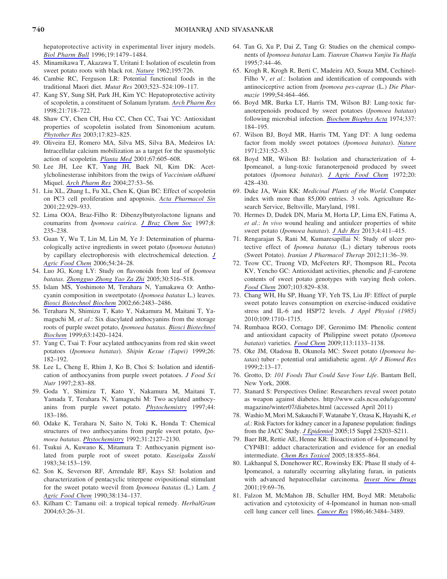hepatoprotective activity in experimental liver injury models. [Biol Pharm Bull](http://online.liebertpub.com/action/showLinks?pmid=8951168&crossref=10.1248%2Fbpb.19.1479) 1996;19:1479–1484.

- 45. Minamikawa T, Akazawa T, Uritani I: Isolation of esculetin from sweet potato roots with black rot. [Nature](http://online.liebertpub.com/action/showLinks?crossref=10.1038%2F195726a0) 1962;195:726.
- 46. Cambie RC, Ferguson LR: Potential functional foods in the traditional Maori diet. Mutat Res 2003;523–524:109–117.
- 47. Kang SY, Sung SH, Park JH, Kim YC: Hepatoprotective activity of scopoletin, a constituent of Solanum lyratum. [Arch Pharm Res](http://online.liebertpub.com/action/showLinks?pmid=9868544&crossref=10.1007%2FBF02976764) 1998;21:718–722.
- 48. Shaw CY, Chen CH, Hsu CC, Chen CC, Tsai YC: Antioxidant properties of scopoletin isolated from Sinomonium acutum. [Phytother Res](http://online.liebertpub.com/action/showLinks?pmid=12916088&crossref=10.1002%2Fptr.1170) 2003;17:823–825.
- 49. Oliveira EJ, Romero MA, Silva MS, Silva BA, Medeiros IA: Intracellular calcium mobilization as a target for the spasmolytic action of scopoletin. [Planta Med](http://online.liebertpub.com/action/showLinks?pmid=11582535&crossref=10.1055%2Fs-2001-17355) 2001;67:605–608.
- 50. Lee JH, Lee KT, Yang JH, Baek NI, Kim DK: Acetylcholinesterase inhibitors from the twigs of Vaccinium oldhami Miquel. [Arch Pharm Res](http://online.liebertpub.com/action/showLinks?pmid=14969339&crossref=10.1007%2FBF02980046) 2004;27:53–56.
- 51. Liu XL, Zhang L, Fu XL, Chen K, Qian BC: Effect of scopoletin on PC3 cell proliferation and apoptosis. [Acta Pharmacol Sin](http://online.liebertpub.com/action/showLinks?pmid=11749777) 2001;22:929–933.
- 52. Lima OOA, Braz-Filho R: Dibenzylbutyrolactone lignans and coumarins from Ipomoea cairica. [J Braz Chem Soc](http://online.liebertpub.com/action/showLinks?crossref=10.1590%2FS0103-50531997000300009) 1997;8: 235–238.
- 53. Guan Y, Wu T, Lin M, Lin M, Ye J: Determination of pharmacologically active ingredients in sweet potato (Ipomoea batatas) by capillary electrophoresis with electrochemical detection. [J](http://online.liebertpub.com/action/showLinks?pmid=16390172&crossref=10.1021%2Fjf0508347) [Agric Food Chem](http://online.liebertpub.com/action/showLinks?pmid=16390172&crossref=10.1021%2Fjf0508347) 2006;54:24–28.
- 54. Luo JG, Kong LY: Study on flavonoids from leaf of Ipomoea batatas. [Zhongguo Zhong Yao Za Zhi](http://online.liebertpub.com/action/showLinks?pmid=16011096) 2005;30:516–518.
- 55. Islam MS, Yoshimoto M, Terahara N, Yamakawa O: Anthocyanin composition in sweetpotato (Ipomoea batatas L.) leaves. [Biosci Biotechnol Biochem](http://online.liebertpub.com/action/showLinks?pmid=12506993&crossref=10.1271%2Fbbb.66.2483) 2002;66:2483–2486.
- 56. Terahara N, Shimizu T, Kato Y, Nakamura M, Maitani T, Yamaguchi M, et al.: Six diacylated anthocyanins from the storage roots of purple sweet potato, Ipomoea batatas. [Biosci Biotechnol](http://online.liebertpub.com/action/showLinks?crossref=10.1271%2Fbbb.63.1420) [Biochem](http://online.liebertpub.com/action/showLinks?crossref=10.1271%2Fbbb.63.1420) 1999;63:1420–1424.
- 57. Yang C, Tsai T: Four acylated anthocyanins from red skin sweet potatoes (Ipomoea batatas). Shipin Kexue (Tapei) 1999;26: 182–192.
- 58. Lee L, Cheng E, Rhim J, Ko B, Choi S: Isolation and identification of anthocyanins from purple sweet potatoes. J Food Sci Nutr 1997;2:83–88.
- 59. Goda Y, Shimizu T, Kato Y, Nakamura M, Maitani T, Yamada T, Terahara N, Yamaguchi M: Two acylated anthocyanins from purple sweet potato. [Phytochemistry](http://online.liebertpub.com/action/showLinks?pmid=8983218&crossref=10.1016%2FS0031-9422%2896%2900533-X) 1997;44: 183–186.
- 60. Odake K, Terahara N, Saito N, Toki K, Honda T: Chemical structures of two anthocyanins from purple sweet potato, Ipomoea batatas. [Phytochemistry](http://online.liebertpub.com/action/showLinks?crossref=10.1016%2F0031-9422%2892%2980378-R) 1992;31:2127–2130.
- 61. Tsukui A, Kuwano K, Mitamura T: Anthocyanin pigment isolated from purple root of sweet potato. Kaseigaku Zasshi 1983;34:153–159.
- 62. Son K, Severson RF, Arrendale RF, Kays SJ: Isolation and characterization of pentacyclic triterpene ovipositional stimulant for the sweet potato weevil from Ipomoea batatas (L.) Lam. [J](http://online.liebertpub.com/action/showLinks?crossref=10.1021%2Fjf00091a028) [Agric Food Chem](http://online.liebertpub.com/action/showLinks?crossref=10.1021%2Fjf00091a028) 1990;38:134–137.
- 63. Kilham C: Tamanu oil: a tropical topical remedy. HerbalGram 2004;63:26–31.
- 64. Tan G, Xu P, Dai Z, Tang G: Studies on the chemical components of Ipomoea batatas Lam. Tianran Chanwu Yanjiu Yu Haifa 1995;7:44–46.
- 65. Krogh R, Krogh R, Berti C, Madeira AO, Souza MM, Cechinel-Filho V, et al.: Isolation and identification of compounds with antinociceptive action from Ipomoea pes-caprae (L.) Die Pharmazie 1999;54:464–466.
- 66. Boyd MR, Burka LT, Harris TM, Wilson BJ: Lung-toxic furanoterpenoids produced by sweet potatoes (Ipomoea batatas) following microbial infection. [Biochem Biophys Acta](http://online.liebertpub.com/action/showLinks?pmid=4373055&crossref=10.1016%2F0005-2760%2874%2990200-8) 1974;337: 184–195.
- 67. Wilson BJ, Boyd MR, Harris TM, Yang DT: A lung oedema factor from moldy sweet potatoes (Ipomoea batatas). [Nature](http://online.liebertpub.com/action/showLinks?pmid=4930474&crossref=10.1038%2F231052a0) 1971;231:52–53.
- 68. Boyd MR, Wilson BJ: Isolation and characterization of 4- Ipomeanol, a lung-toxic furanoterpenoid produced by sweet potatoes (Ipomoea batatas). [J Agric Food Chem](http://online.liebertpub.com/action/showLinks?pmid=5016626&crossref=10.1021%2Fjf60180a066) 1972;20: 428–430.
- 69. Duke JA, Wain KK: Medicinal Plants of the World. Computer index with more than 85,000 entries. 3 vols. Agriculture Research Service, Beltsville, Maryland, 1981.
- 70. Hermes D, Dudek DN, Maria M, Horta LP, Lima EN, Fatima A, et al.: In vivo wound healing and antiulcer properties of white sweet potato (Ipomoea batatas). [J Adv Res](http://online.liebertpub.com/action/showLinks?crossref=10.1016%2Fj.jare.2012.06.001) 2013;4:411–415.
- 71. Rengarajan S, Rani M, Kumaresapillai N: Study of ulcer protective effect of Ipomea batatas (L.) dietary tuberous roots (Sweet Potato). Iranian J Pharmacol Therap 2012;11:36–39.
- 72. Teow CC, Truong VD, McFeeters RF, Thompson RL, Pecota KV, Yencho GC: Antioxidant activities, phenolic and  $\beta$ -carotene contents of sweet potato genotypes with varying flesh colors. [Food Chem](http://online.liebertpub.com/action/showLinks?crossref=10.1016%2Fj.foodchem.2006.09.033) 2007;103:829–838.
- 73. Chang WH, Hu SP, Huang YF, Yeh TS, Liu JF: Effect of purple sweet potato leaves consumption on exercise-induced oxidative stress and IL-6 and HSP72 levels. J Appl Physiol (1985) 2010;109:1710–1715.
- 74. Rumbaoa RGO, Cornago DF, Geronimo IM: Phenolic content and antioxidant capacity of Philippine sweet potato (Ipomoea batatas) varieties. [Food Chem](http://online.liebertpub.com/action/showLinks?crossref=10.1016%2Fj.foodchem.2008.08.088) 2009;113:1133–1138.
- 75. Oke JM, Oladosu B, Okunola MC: Sweet potato (Ipomoea batatas) tuber - potential oral antidiabetic agent. Afr J Biomed Res 1999;2:13–17.
- 76. Grotto, D: 101 Foods That Could Save Your Life. Bantam Bell, New York, 2008.
- 77. Stanard S: Perspectives Online: Researchers reveal sweet potato as weapon against diabetes. http://www.cals.ncsu.edu/agcomm/ magazine/winter07/diabetes.html (accessed April 2011)
- 78. Washio M, Mori M, Sakauchi F, Watanabe Y, Ozasa K, Hayashi K, et al.: Risk Factors for kidney cancer in a Japanese population: findings from the JACC Study. *[J Epidemiol](http://online.liebertpub.com/action/showLinks?pmid=16127235&crossref=10.2188%2Fjea.15.S203)* 2005;15 Suppl 2:S203-S211.
- 79. Baer BR, Rettie AE, Henne KR: Bioactivation of 4-Ipomeanol by CYP4B1: adduct characterization and evidence for an enedial intermediate. [Chem Res Toxicol](http://online.liebertpub.com/action/showLinks?pmid=15892579&crossref=10.1021%2Ftx0496993) 2005;18:855–864.
- 80. Lakhanpal S, Donehower RC, Rowinsky EK: Phase II study of 4- Ipomeanol, a naturally occurring alkylating furan, in patients with advanced hepatocellular carcinoma. [Invest New Drugs](http://online.liebertpub.com/action/showLinks?pmid=11291834&crossref=10.1023%2FA%3A1006408803734) 2001;19:69–76.
- 81. Falzon M, McMahon JB, Schuller HM, Boyd MR: Metabolic activation and cytotoxicity of 4-Ipomeanol in human non-small cell lung cancer cell lines. [Cancer Res](http://online.liebertpub.com/action/showLinks?pmid=3011249) 1986;46:3484–3489.